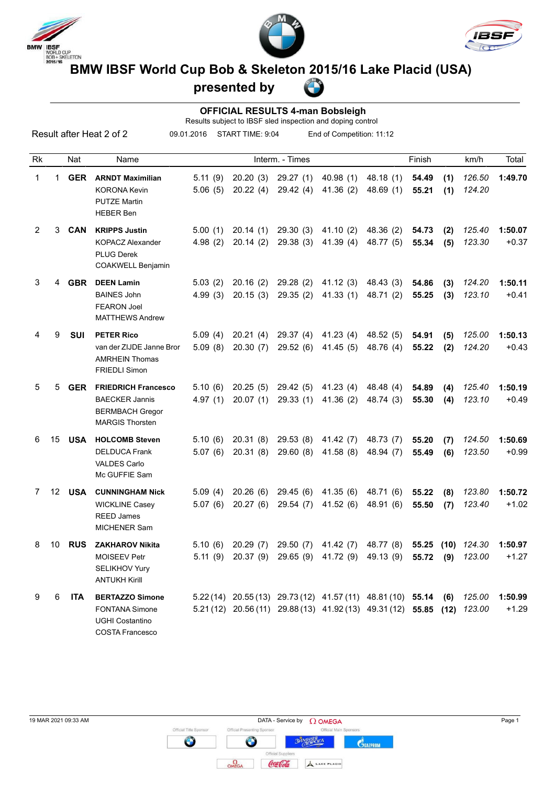





# **BMW IBSF WORLD CUP BOB & Skeleton 2015/16 Lake Placid (USA)**<br>BMW IBSF World Cup Bob & Skeleton 2015/16 Lake Placid (USA)

## **presented by**

#### **OFFICIAL RESULTS 4-man Bobsleigh**

Results subject to IBSF sled inspection and doping control

Result after Heat 2 of 2

09.01.2016 START TIME: 9:04 End of Competition: 11:12

| Rk             |                 | Nat        | Name                                                                                                    |                    |                      | Interm. - Times      |                       |                                                                                                                            | Finish         |             | km/h             | Total              |
|----------------|-----------------|------------|---------------------------------------------------------------------------------------------------------|--------------------|----------------------|----------------------|-----------------------|----------------------------------------------------------------------------------------------------------------------------|----------------|-------------|------------------|--------------------|
| 1              | 1               | <b>GER</b> | <b>ARNDT Maximilian</b><br><b>KORONA Kevin</b><br><b>PUTZE Martin</b><br><b>HEBER Ben</b>               | 5.11(9)<br>5.06(5) | 20.20(3)<br>20.22(4) | 29.27(1)<br>29.42(4) | 40.98(1)<br>41.36(2)  | 48.18(1)<br>48.69(1)                                                                                                       | 54.49<br>55.21 | (1)<br>(1)  | 126.50<br>124.20 | 1:49.70            |
| $\overline{2}$ | 3               | CAN        | <b>KRIPPS Justin</b><br><b>KOPACZ Alexander</b><br><b>PLUG Derek</b><br>COAKWELL Benjamin               | 5.00(1)<br>4.98(2) | 20.14(1)<br>20.14(2) | 29.30(3)<br>29.38(3) | 41.10(2)<br>41.39(4)  | 48.36 (2)<br>48.77 (5)                                                                                                     | 54.73<br>55.34 | (2)<br>(5)  | 125.40<br>123.30 | 1:50.07<br>$+0.37$ |
| 3              | 4               | <b>GBR</b> | <b>DEEN Lamin</b><br><b>BAINES John</b><br><b>FEARON Joel</b><br><b>MATTHEWS Andrew</b>                 | 5.03(2)<br>4.99(3) | 20.16(2)<br>20.15(3) | 29.28(2)<br>29.35(2) | 41.12(3)<br>41.33(1)  | 48.43 (3)<br>48.71 (2)                                                                                                     | 54.86<br>55.25 | (3)<br>(3)  | 124.20<br>123.10 | 1:50.11<br>$+0.41$ |
| 4              | 9               | SUI        | <b>PETER Rico</b><br>van der ZIJDE Janne Bror<br><b>AMRHEIN Thomas</b><br><b>FRIEDLI Simon</b>          | 5.09(4)<br>5.09(8) | 20.21(4)<br>20.30(7) | 29.37(4)<br>29.52(6) | 41.23(4)<br>41.45(5)  | 48.52 (5)<br>48.76 (4)                                                                                                     | 54.91<br>55.22 | (5)<br>(2)  | 125.00<br>124.20 | 1:50.13<br>$+0.43$ |
| 5              | 5               | <b>GER</b> | <b>FRIEDRICH Francesco</b><br><b>BAECKER Jannis</b><br><b>BERMBACH Gregor</b><br><b>MARGIS Thorsten</b> | 5.10(6)<br>4.97(1) | 20.25(5)<br>20.07(1) | 29.42(5)<br>29.33(1) | 41.23(4)<br>41.36(2)  | 48.48 (4)<br>48.74 (3)                                                                                                     | 54.89<br>55.30 | (4)<br>(4)  | 125.40<br>123.10 | 1:50.19<br>$+0.49$ |
| 6              | 15              | <b>USA</b> | <b>HOLCOMB Steven</b><br><b>DELDUCA Frank</b><br><b>VALDES Carlo</b><br>Mc GUFFIE Sam                   | 5.10(6)<br>5.07(6) | 20.31(8)<br>20.31(8) | 29.53(8)<br>29.60(8) | 41.42(7)<br>41.58(8)  | 48.73 (7)<br>48.94 (7)                                                                                                     | 55.20<br>55.49 | (7)<br>(6)  | 124.50<br>123.50 | 1:50.69<br>$+0.99$ |
| 7              | 12 <sup>°</sup> | <b>USA</b> | <b>CUNNINGHAM Nick</b><br><b>WICKLINE Casey</b><br><b>REED James</b><br><b>MICHENER Sam</b>             | 5.09(4)<br>5.07(6) | 20.26(6)<br>20.27(6) | 29.45(6)<br>29.54(7) | 41.35(6)<br>41.52(6)  | 48.71 (6)<br>48.91 (6)                                                                                                     | 55.22<br>55.50 | (8)<br>(7)  | 123.80<br>123.40 | 1:50.72<br>$+1.02$ |
| 8              | 10              | <b>RUS</b> | <b>ZAKHAROV Nikita</b><br><b>MOISEEV Petr</b><br>SELIKHOV Yury<br><b>ANTUKH Kirill</b>                  | 5.10(6)<br>5.11(9) | 20.29(7)<br>20.37(9) | 29.50(7)<br>29.65(9) | 41.42(7)<br>41.72 (9) | 48.77 (8)<br>49.13 (9)                                                                                                     | 55.25<br>55.72 | (10)<br>(9) | 124.30<br>123.00 | 1:50.97<br>$+1.27$ |
| 9              | 6               | <b>ITA</b> | <b>BERTAZZO Simone</b><br><b>FONTANA Simone</b><br>UGHI Costantino<br><b>COSTA Francesco</b>            |                    |                      |                      |                       | 5.22(14) 20.55(13) 29.73(12) 41.57(11) 48.81(10) 55.14<br>5.21 (12) 20.56 (11) 29.88 (13) 41.92 (13) 49.31 (12) 55.85 (12) |                | (6)         | 125.00<br>123.00 | 1:50.99<br>$+1.29$ |